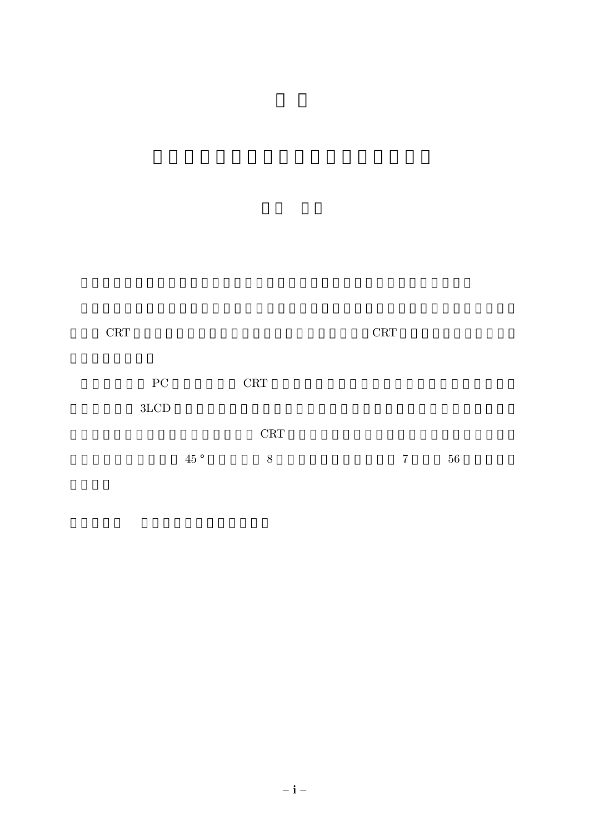| CRT<br>CRT |  |
|------------|--|
|------------|--|

| $\overline{\mathrm{PC}}$ |     | <b>CRT</b> |                |    |
|--------------------------|-----|------------|----------------|----|
| 3LCD                     |     |            |                |    |
|                          |     | <b>CRT</b> |                |    |
|                          | 45° | 8          | $7\phantom{.}$ | 56 |